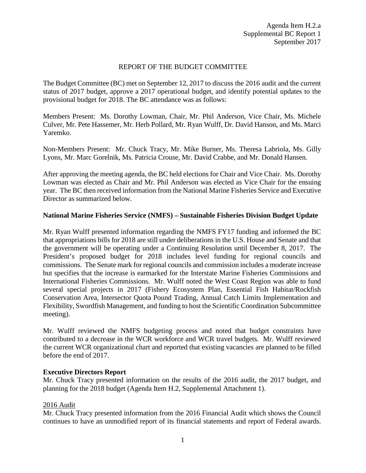## REPORT OF THE BUDGET COMMITTEE

The Budget Committee (BC) met on September 12, 2017 to discuss the 2016 audit and the current status of 2017 budget, approve a 2017 operational budget, and identify potential updates to the provisional budget for 2018. The BC attendance was as follows:

Members Present: Ms. Dorothy Lowman, Chair, Mr. Phil Anderson, Vice Chair, Ms. Michele Culver, Mr. Pete Hassemer, Mr. Herb Pollard, Mr. Ryan Wulff, Dr. David Hanson, and Ms. Marci Yaremko.

Non-Members Present: Mr. Chuck Tracy, Mr. Mike Burner, Ms. Theresa Labriola, Ms. Gilly Lyons, Mr. Marc Gorelnik, Ms. Patricia Crouse, Mr. David Crabbe, and Mr. Donald Hansen.

After approving the meeting agenda, the BC held elections for Chair and Vice Chair. Ms. Dorothy Lowman was elected as Chair and Mr. Phil Anderson was elected as Vice Chair for the ensuing year. The BC then received information from the National Marine Fisheries Service and Executive Director as summarized below.

### **National Marine Fisheries Service (NMFS) – Sustainable Fisheries Division Budget Update**

Mr. Ryan Wulff presented information regarding the NMFS FY17 funding and informed the BC that appropriations bills for 2018 are still under deliberations in the U.S. House and Senate and that the government will be operating under a Continuing Resolution until December 8, 2017. The President's proposed budget for 2018 includes level funding for regional councils and commissions. The Senate mark for regional councils and commission includes a moderate increase but specifies that the increase is earmarked for the Interstate Marine Fisheries Commissions and International Fisheries Commissions. Mr. Wulff noted the West Coast Region was able to fund several special projects in 2017 (Fishery Ecosystem Plan, Essential Fish Habitat/Rockfish Conservation Area, Intersector Quota Pound Trading, Annual Catch Limits Implementation and Flexibility, Swordfish Management, and funding to host the Scientific Coordination Subcommittee meeting).

Mr. Wulff reviewed the NMFS budgeting process and noted that budget constraints have contributed to a decrease in the WCR workforce and WCR travel budgets. Mr. Wulff reviewed the current WCR organizational chart and reported that existing vacancies are planned to be filled before the end of 2017.

#### **Executive Directors Report**

Mr. Chuck Tracy presented information on the results of the 2016 audit, the 2017 budget, and planning for the 2018 budget (Agenda Item H.2, Supplemental Attachment 1).

#### 2016 Audit

Mr. Chuck Tracy presented information from the 2016 Financial Audit which shows the Council continues to have an unmodified report of its financial statements and report of Federal awards.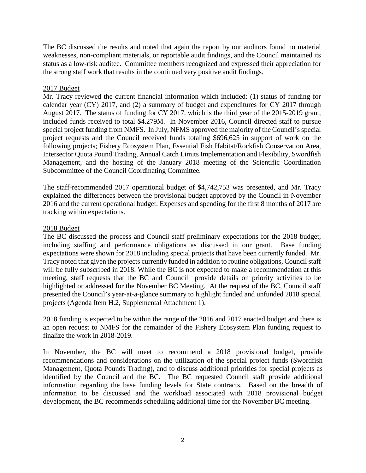The BC discussed the results and noted that again the report by our auditors found no material weaknesses, non-compliant materials, or reportable audit findings, and the Council maintained its status as a low-risk auditee. Committee members recognized and expressed their appreciation for the strong staff work that results in the continued very positive audit findings.

# 2017 Budget

Mr. Tracy reviewed the current financial information which included: (1) status of funding for calendar year (CY) 2017, and (2) a summary of budget and expenditures for CY 2017 through August 2017. The status of funding for CY 2017, which is the third year of the 2015-2019 grant, included funds received to total \$4.279M. In November 2016, Council directed staff to pursue special project funding from NMFS. In July, NFMS approved the majority of the Council's special project requests and the Council received funds totaling \$696,625 in support of work on the following projects; Fishery Ecosystem Plan, Essential Fish Habitat/Rockfish Conservation Area, Intersector Quota Pound Trading, Annual Catch Limits Implementation and Flexibility, Swordfish Management, and the hosting of the January 2018 meeting of the Scientific Coordination Subcommittee of the Council Coordinating Committee.

The staff-recommended 2017 operational budget of \$4,742,753 was presented, and Mr. Tracy explained the differences between the provisional budget approved by the Council in November 2016 and the current operational budget. Expenses and spending for the first 8 months of 2017 are tracking within expectations.

# 2018 Budget

The BC discussed the process and Council staff preliminary expectations for the 2018 budget, including staffing and performance obligations as discussed in our grant. Base funding expectations were shown for 2018 including special projects that have been currently funded. Mr. Tracy noted that given the projects currently funded in addition to routine obligations, Council staff will be fully subscribed in 2018. While the BC is not expected to make a recommendation at this meeting, staff requests that the BC and Council provide details on priority activities to be highlighted or addressed for the November BC Meeting. At the request of the BC, Council staff presented the Council's year-at-a-glance summary to highlight funded and unfunded 2018 special projects (Agenda Item H.2, Supplemental Attachment 1).

2018 funding is expected to be within the range of the 2016 and 2017 enacted budget and there is an open request to NMFS for the remainder of the Fishery Ecosystem Plan funding request to finalize the work in 2018-2019.

In November, the BC will meet to recommend a 2018 provisional budget, provide recommendations and considerations on the utilization of the special project funds (Swordfish Management, Quota Pounds Trading), and to discuss additional priorities for special projects as identified by the Council and the BC. The BC requested Council staff provide additional information regarding the base funding levels for State contracts. Based on the breadth of information to be discussed and the workload associated with 2018 provisional budget development, the BC recommends scheduling additional time for the November BC meeting.